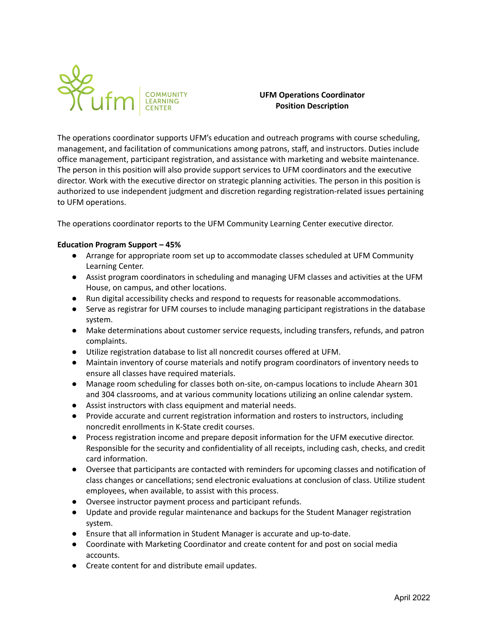

# **UFM Operations Coordinator Position Description**

The operations coordinator supports UFM's education and outreach programs with course scheduling, management, and facilitation of communications among patrons, staff, and instructors. Duties include office management, participant registration, and assistance with marketing and website maintenance. The person in this position will also provide support services to UFM coordinators and the executive director. Work with the executive director on strategic planning activities. The person in this position is authorized to use independent judgment and discretion regarding registration-related issues pertaining to UFM operations.

The operations coordinator reports to the UFM Community Learning Center executive director.

## **Education Program Support – 45%**

- Arrange for appropriate room set up to accommodate classes scheduled at UFM Community Learning Center.
- Assist program coordinators in scheduling and managing UFM classes and activities at the UFM House, on campus, and other locations.
- Run digital accessibility checks and respond to requests for reasonable accommodations.
- Serve as registrar for UFM courses to include managing participant registrations in the database system.
- Make determinations about customer service requests, including transfers, refunds, and patron complaints.
- Utilize registration database to list all noncredit courses offered at UFM.
- Maintain inventory of course materials and notify program coordinators of inventory needs to ensure all classes have required materials.
- Manage room scheduling for classes both on-site, on-campus locations to include Ahearn 301 and 304 classrooms, and at various community locations utilizing an online calendar system.
- Assist instructors with class equipment and material needs.
- Provide accurate and current registration information and rosters to instructors, including noncredit enrollments in K-State credit courses.
- Process registration income and prepare deposit information for the UFM executive director. Responsible for the security and confidentiality of all receipts, including cash, checks, and credit card information.
- Oversee that participants are contacted with reminders for upcoming classes and notification of class changes or cancellations; send electronic evaluations at conclusion of class. Utilize student employees, when available, to assist with this process.
- Oversee instructor payment process and participant refunds.
- Update and provide regular maintenance and backups for the Student Manager registration system.
- Ensure that all information in Student Manager is accurate and up-to-date.
- Coordinate with Marketing Coordinator and create content for and post on social media accounts.
- Create content for and distribute email updates.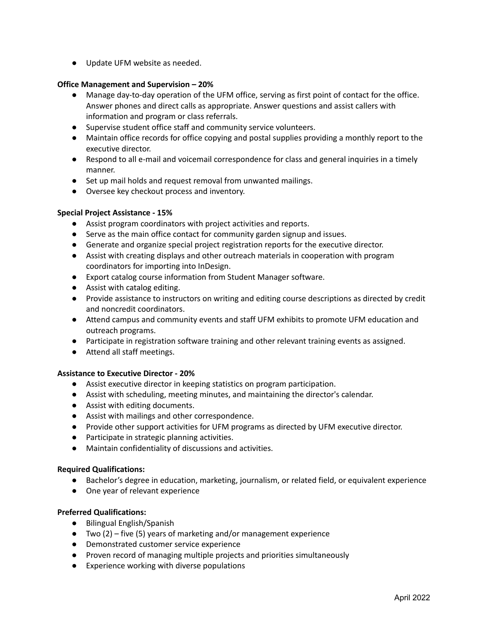● Update UFM website as needed.

#### **Office Management and Supervision – 20%**

- Manage day-to-day operation of the UFM office, serving as first point of contact for the office. Answer phones and direct calls as appropriate. Answer questions and assist callers with information and program or class referrals.
- Supervise student office staff and community service volunteers.
- Maintain office records for office copying and postal supplies providing a monthly report to the executive director.
- **●** Respond to all e-mail and voicemail correspondence for class and general inquiries in a timely manner.
- **●** Set up mail holds and request removal from unwanted mailings.
- **●** Oversee key checkout process and inventory.

## **Special Project Assistance - 15%**

- Assist program coordinators with project activities and reports.
- Serve as the main office contact for community garden signup and issues.
- Generate and organize special project registration reports for the executive director.
- Assist with creating displays and other outreach materials in cooperation with program coordinators for importing into InDesign.
- Export catalog course information from Student Manager software.
- Assist with catalog editing.
- Provide assistance to instructors on writing and editing course descriptions as directed by credit and noncredit coordinators.
- Attend campus and community events and staff UFM exhibits to promote UFM education and outreach programs.
- Participate in registration software training and other relevant training events as assigned.
- Attend all staff meetings.

## **Assistance to Executive Director - 20%**

- Assist executive director in keeping statistics on program participation.
- Assist with scheduling, meeting minutes, and maintaining the director's calendar.
- Assist with editing documents.
- Assist with mailings and other correspondence.
- Provide other support activities for UFM programs as directed by UFM executive director.
- Participate in strategic planning activities.
- Maintain confidentiality of discussions and activities.

## **Required Qualifications:**

- Bachelor's degree in education, marketing, journalism, or related field, or equivalent experience
- One year of relevant experience

## **Preferred Qualifications:**

- Bilingual English/Spanish
- Two (2) five (5) years of marketing and/or management experience
- Demonstrated customer service experience
- Proven record of managing multiple projects and priorities simultaneously
- Experience working with diverse populations